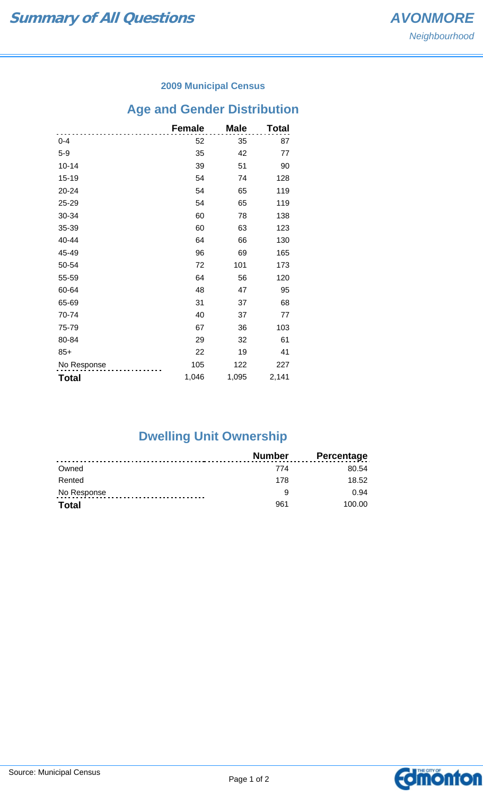#### **2009 Municipal Census**

# **Age and Gender Distribution**

|              | <b>Female</b> | <b>Male</b> | <b>Total</b> |
|--------------|---------------|-------------|--------------|
| $0 - 4$      | 52            | 35          | 87           |
| $5-9$        | 35            | 42          | 77           |
| $10 - 14$    | 39            | 51          | 90           |
| 15-19        | 54            | 74          | 128          |
| 20-24        | 54            | 65          | 119          |
| 25-29        | 54            | 65          | 119          |
| 30-34        | 60            | 78          | 138          |
| 35-39        | 60            | 63          | 123          |
| 40-44        | 64            | 66          | 130          |
| 45-49        | 96            | 69          | 165          |
| 50-54        | 72            | 101         | 173          |
| 55-59        | 64            | 56          | 120          |
| 60-64        | 48            | 47          | 95           |
| 65-69        | 31            | 37          | 68           |
| 70-74        | 40            | 37          | 77           |
| 75-79        | 67            | 36          | 103          |
| 80-84        | 29            | 32          | 61           |
| $85+$        | 22            | 19          | 41           |
| No Response  | 105           | 122         | 227          |
| <b>Total</b> | 1,046         | 1,095       | 2,141        |

## **Dwelling Unit Ownership**

|              | Number | <b>Percentage</b> |
|--------------|--------|-------------------|
| Owned        | 774    | 80.54             |
| Rented       | 178    | 18.52             |
| No Response  | a      | 0.94              |
| <b>Total</b> | 961    | 100.00            |